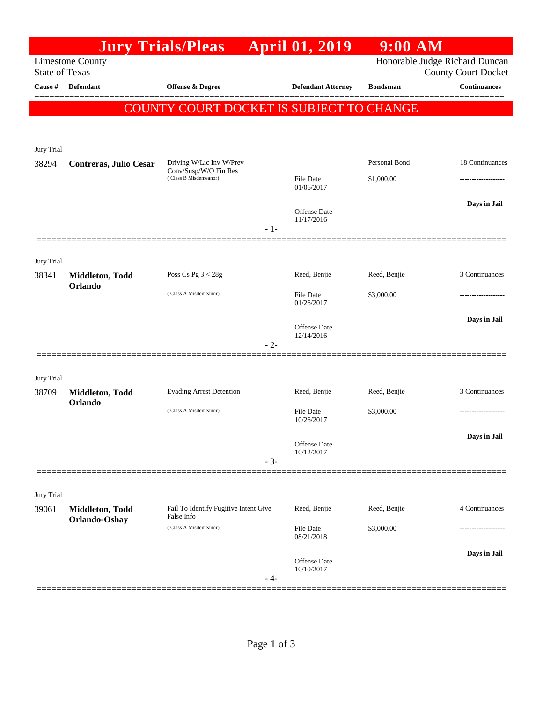|                                                  |                                  | <b>Jury Trials/Pleas</b>                                                   |       | <b>April 01, 2019</b>                                        | $9:00$ AM                   |                                      |
|--------------------------------------------------|----------------------------------|----------------------------------------------------------------------------|-------|--------------------------------------------------------------|-----------------------------|--------------------------------------|
| <b>Limestone County</b><br><b>State of Texas</b> |                                  |                                                                            |       | Honorable Judge Richard Duncan<br><b>County Court Docket</b> |                             |                                      |
| Cause #                                          | Defendant                        | <b>Offense &amp; Degree</b>                                                |       | <b>Defendant Attorney</b>                                    | <b>Bondsman</b>             | <b>Continuances</b>                  |
|                                                  |                                  | COUNTY COURT DOCKET IS SUBJECT TO CHANGE                                   |       |                                                              |                             |                                      |
| Jury Trial                                       |                                  |                                                                            |       |                                                              |                             |                                      |
| 38294                                            | <b>Contreras, Julio Cesar</b>    | Driving W/Lic Inv W/Prev<br>Conv/Susp/W/O Fin Res<br>(Class B Misdemeanor) |       | File Date<br>01/06/2017                                      | Personal Bond<br>\$1,000.00 | 18 Continuances<br>----------------- |
|                                                  |                                  |                                                                            |       | <b>Offense</b> Date                                          |                             | Days in Jail                         |
|                                                  |                                  |                                                                            | $-1-$ | 11/17/2016                                                   |                             |                                      |
| Jury Trial                                       |                                  |                                                                            |       |                                                              |                             |                                      |
| 38341                                            | Middleton, Todd<br>Orlando       | Poss Cs Pg $3 < 28g$<br>(Class A Misdemeanor)                              |       | Reed, Benjie<br><b>File Date</b>                             | Reed, Benjie<br>\$3,000.00  | 3 Continuances<br>.                  |
|                                                  |                                  |                                                                            | $-2-$ | 01/26/2017<br>Offense Date<br>12/14/2016                     |                             | Days in Jail                         |
| Jury Trial                                       |                                  |                                                                            |       |                                                              |                             |                                      |
| 38709                                            | Middleton, Todd                  | <b>Evading Arrest Detention</b>                                            |       | Reed, Benjie                                                 | Reed, Benjie                | 3 Continuances                       |
|                                                  | Orlando                          | (Class A Misdemeanor)                                                      |       | <b>File Date</b><br>10/26/2017                               | \$3,000.00                  |                                      |
|                                                  |                                  |                                                                            | $-3-$ | Offense Date<br>10/12/2017                                   |                             | Days in Jail                         |
| Jury Trial                                       |                                  |                                                                            |       |                                                              |                             |                                      |
| 39061                                            | Middleton, Todd<br>Orlando-Oshay | Fail To Identify Fugitive Intent Give<br>False Info                        |       | Reed, Benjie                                                 | Reed, Benjie                | 4 Continuances                       |
|                                                  |                                  | (Class A Misdemeanor)                                                      |       | <b>File Date</b><br>08/21/2018                               | \$3,000.00                  |                                      |
|                                                  |                                  |                                                                            | - 4-  | Offense Date<br>10/10/2017                                   |                             | Days in Jail                         |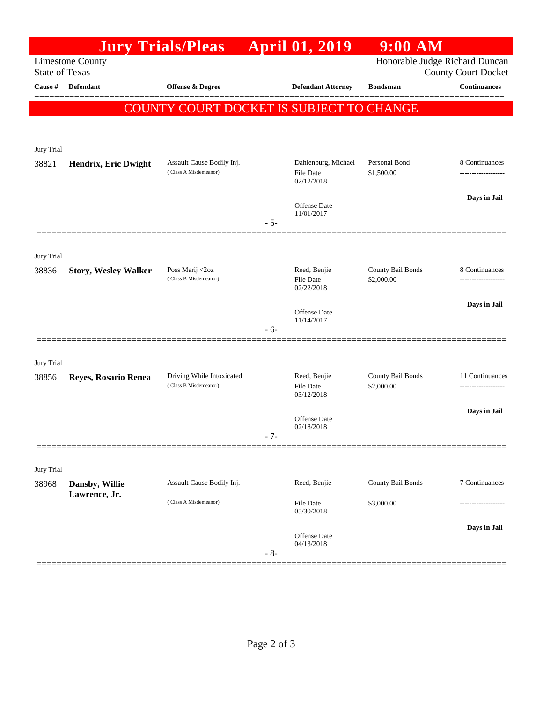|                                                                                    |                             | <b>Jury Trials/Pleas</b>                           |       | <b>April 01, 2019</b>            | $9:00$ AM                       |                                       |
|------------------------------------------------------------------------------------|-----------------------------|----------------------------------------------------|-------|----------------------------------|---------------------------------|---------------------------------------|
| Honorable Judge Richard Duncan<br><b>Limestone County</b><br><b>State of Texas</b> |                             |                                                    |       |                                  |                                 | <b>County Court Docket</b>            |
| Cause #                                                                            | <b>Defendant</b>            | Offense & Degree                                   |       | <b>Defendant Attorney</b>        | <b>Bondsman</b>                 | <b>Continuances</b>                   |
|                                                                                    |                             | COUNTY COURT DOCKET IS SUBJECT TO CHANGE           |       |                                  |                                 |                                       |
|                                                                                    |                             |                                                    |       |                                  |                                 |                                       |
|                                                                                    |                             |                                                    |       |                                  |                                 |                                       |
| Jury Trial<br>38821                                                                | Hendrix, Eric Dwight        | Assault Cause Bodily Inj.                          |       | Dahlenburg, Michael              | Personal Bond                   | 8 Continuances                        |
|                                                                                    |                             | (Class A Misdemeanor)                              |       | File Date<br>02/12/2018          | \$1,500.00                      |                                       |
|                                                                                    |                             |                                                    |       |                                  |                                 | Days in Jail                          |
|                                                                                    |                             |                                                    | $-5-$ | Offense Date<br>11/01/2017       |                                 |                                       |
|                                                                                    |                             |                                                    |       |                                  |                                 |                                       |
| Jury Trial                                                                         |                             |                                                    |       |                                  |                                 |                                       |
| 38836                                                                              | <b>Story, Wesley Walker</b> | Poss Marij <2oz<br>(Class B Misdemeanor)           |       | Reed, Benjie<br><b>File Date</b> | County Bail Bonds<br>\$2,000.00 | 8 Continuances<br>-----------------   |
|                                                                                    |                             |                                                    |       | 02/22/2018                       |                                 |                                       |
|                                                                                    |                             |                                                    |       | <b>Offense Date</b>              |                                 | Days in Jail                          |
|                                                                                    |                             |                                                    | - 6-  | 11/14/2017                       |                                 |                                       |
|                                                                                    |                             |                                                    |       |                                  |                                 |                                       |
| Jury Trial                                                                         |                             |                                                    |       |                                  |                                 |                                       |
| 38856                                                                              | Reyes, Rosario Renea        | Driving While Intoxicated<br>(Class B Misdemeanor) |       | Reed, Benjie<br><b>File Date</b> | County Bail Bonds<br>\$2,000.00 | 11 Continuances<br>------------------ |
|                                                                                    |                             |                                                    |       | 03/12/2018                       |                                 | Days in Jail                          |
|                                                                                    |                             |                                                    |       | Offense Date<br>02/18/2018       |                                 |                                       |
|                                                                                    |                             |                                                    | $-7-$ |                                  |                                 |                                       |
|                                                                                    |                             |                                                    |       |                                  |                                 |                                       |
| Jury Trial<br>38968                                                                | Dansby, Willie              | Assault Cause Bodily Inj.                          |       | Reed, Benjie                     | County Bail Bonds               | 7 Continuances                        |
|                                                                                    | Lawrence, Jr.               | (Class A Misdemeanor)                              |       | File Date                        | \$3,000.00                      |                                       |
|                                                                                    |                             |                                                    |       | 05/30/2018                       |                                 |                                       |
|                                                                                    |                             |                                                    |       | Offense Date                     |                                 | Days in Jail                          |
|                                                                                    |                             |                                                    | $-8-$ | 04/13/2018                       |                                 |                                       |